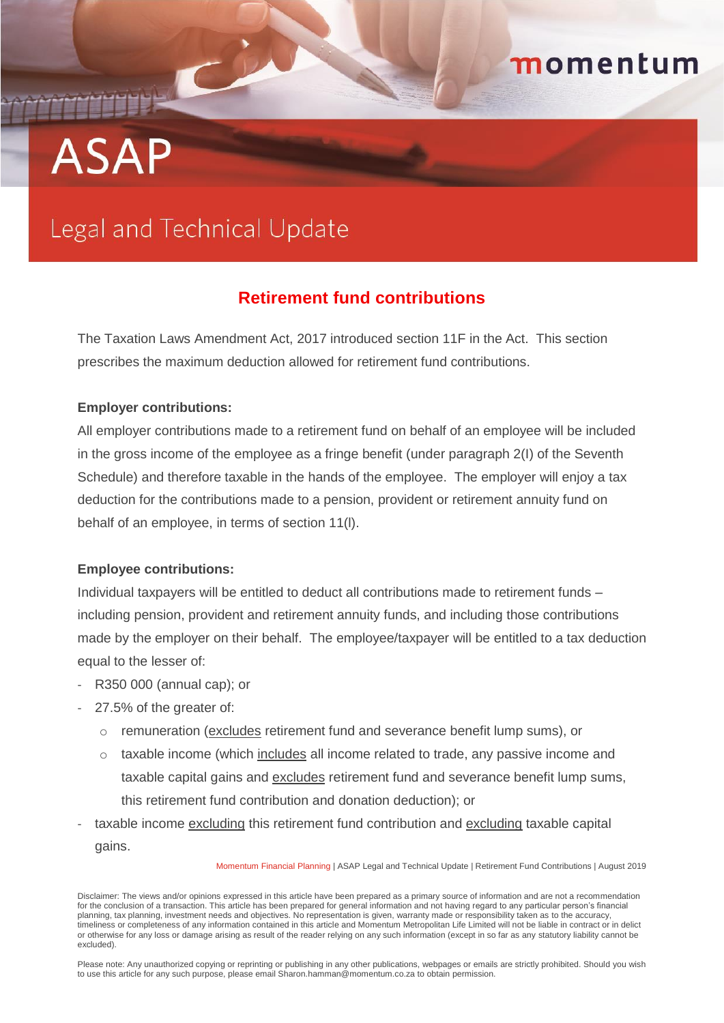# **ASAP**

## Legal and Technical Update

### **Retirement fund contributions**

momentum

The Taxation Laws Amendment Act, 2017 introduced section 11F in the Act. This section prescribes the maximum deduction allowed for retirement fund contributions.

#### **Employer contributions:**

All employer contributions made to a retirement fund on behalf of an employee will be included in the gross income of the employee as a fringe benefit (under paragraph 2(I) of the Seventh Schedule) and therefore taxable in the hands of the employee. The employer will enjoy a tax deduction for the contributions made to a pension, provident or retirement annuity fund on behalf of an employee, in terms of section 11(l).

#### **Employee contributions:**

Individual taxpayers will be entitled to deduct all contributions made to retirement funds – including pension, provident and retirement annuity funds, and including those contributions made by the employer on their behalf. The employee/taxpayer will be entitled to a tax deduction equal to the lesser of:

- R350 000 (annual cap); or
- 27.5% of the greater of:
	- o remuneration (excludes retirement fund and severance benefit lump sums), or
	- o taxable income (which includes all income related to trade, any passive income and taxable capital gains and excludes retirement fund and severance benefit lump sums, this retirement fund contribution and donation deduction); or
- taxable income excluding this retirement fund contribution and excluding taxable capital gains.

Momentum Financial Planning | ASAP Legal and Technical Update | Retirement Fund Contributions | August 2019

Please note: Any unauthorized copying or reprinting or publishing in any other publications, webpages or emails are strictly prohibited. Should you wish to use this article for any such purpose, please email Sharon.hamman@momentum.co.za to obtain permission.

Disclaimer: The views and/or opinions expressed in this article have been prepared as a primary source of information and are not a recommendation for the conclusion of a transaction. This article has been prepared for general information and not having regard to any particular person's financial planning, tax planning, investment needs and objectives. No representation is given, warranty made or responsibility taken as to the accuracy, timeliness or completeness of any information contained in this article and Momentum Metropolitan Life Limited will not be liable in contract or in delict or otherwise for any loss or damage arising as result of the reader relying on any such information (except in so far as any statutory liability cannot be excluded).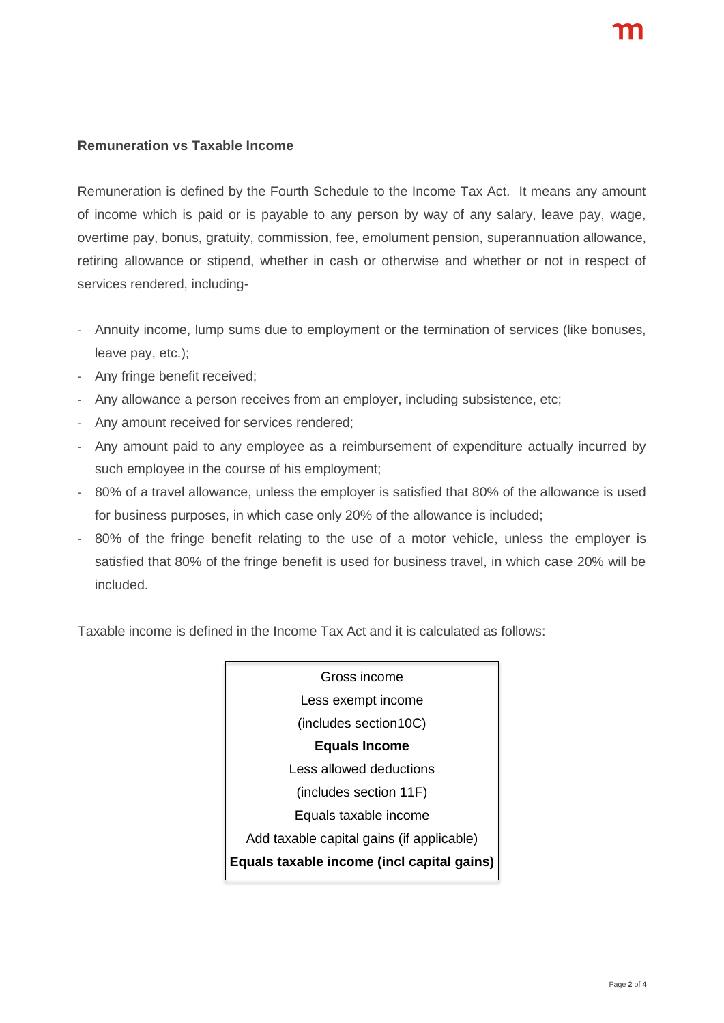#### **Remuneration vs Taxable Income**

Remuneration is defined by the Fourth Schedule to the Income Tax Act. It means any amount of income which is paid or is payable to any person by way of any salary, leave pay, wage, overtime pay, bonus, gratuity, commission, fee, emolument pension, superannuation allowance, retiring allowance or stipend, whether in cash or otherwise and whether or not in respect of services rendered, including-

- Annuity income, lump sums due to employment or the termination of services (like bonuses, leave pay, etc.);
- Any fringe benefit received;
- Any allowance a person receives from an employer, including subsistence, etc;
- Any amount received for services rendered;
- Any amount paid to any employee as a reimbursement of expenditure actually incurred by such employee in the course of his employment;
- 80% of a travel allowance, unless the employer is satisfied that 80% of the allowance is used for business purposes, in which case only 20% of the allowance is included;
- 80% of the fringe benefit relating to the use of a motor vehicle, unless the employer is satisfied that 80% of the fringe benefit is used for business travel, in which case 20% will be included.

Taxable income is defined in the Income Tax Act and it is calculated as follows:

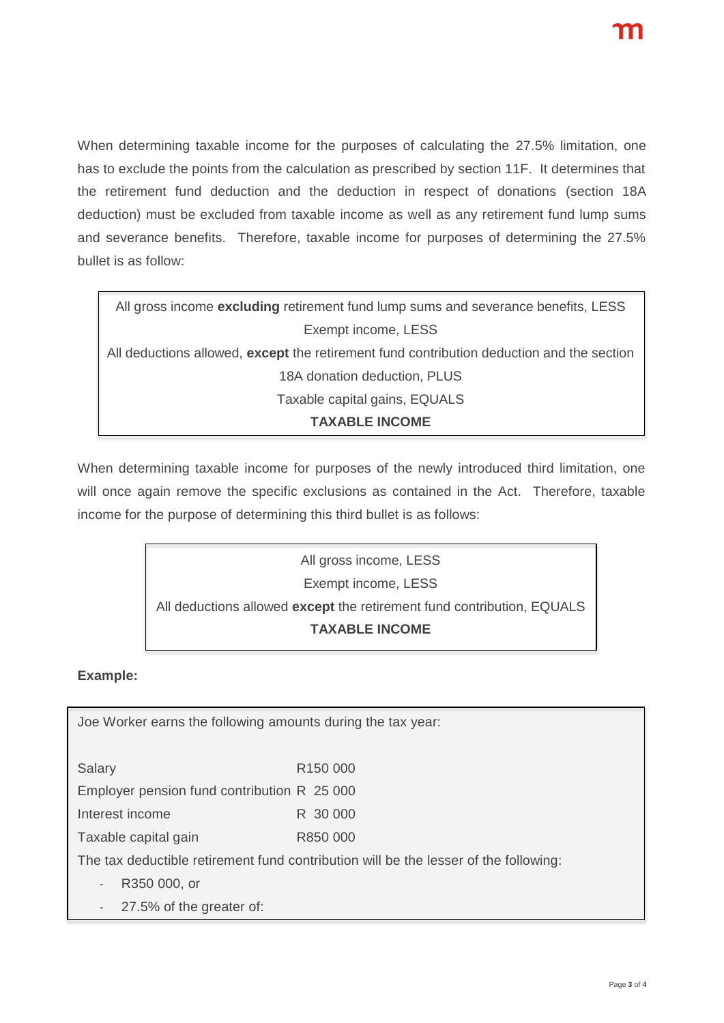When determining taxable income for the purposes of calculating the 27.5% limitation, one has to exclude the points from the calculation as prescribed by section 11F. It determines that the retirement fund deduction and the deduction in respect of donations (section 18A deduction) must be excluded from taxable income as well as any retirement fund lump sums and severance benefits. Therefore, taxable income for purposes of determining the 27.5% bullet is as follow:

| All gross income excluding retirement fund lump sums and severance benefits, LESS         |
|-------------------------------------------------------------------------------------------|
| Exempt income, LESS                                                                       |
| All deductions allowed, except the retirement fund contribution deduction and the section |
| 18A donation deduction, PLUS                                                              |
| Taxable capital gains, EQUALS                                                             |
| <b>TAXABLE INCOME</b>                                                                     |

When determining taxable income for purposes of the newly introduced third limitation, one will once again remove the specific exclusions as contained in the Act. Therefore, taxable income for the purpose of determining this third bullet is as follows:

> All gross income, LESS Exempt income, LESS All deductions allowed **except** the retirement fund contribution, EQUALS **TAXABLE INCOME**

#### **Example:**

Joe Worker earns the following amounts during the tax year:

Salary R150 000

Employer pension fund contribution R 25 000

Interest income R 30 000

Taxable capital gain R850 000

The tax deductible retirement fund contribution will be the lesser of the following:

R350 000, or

27.5% of the greater of: